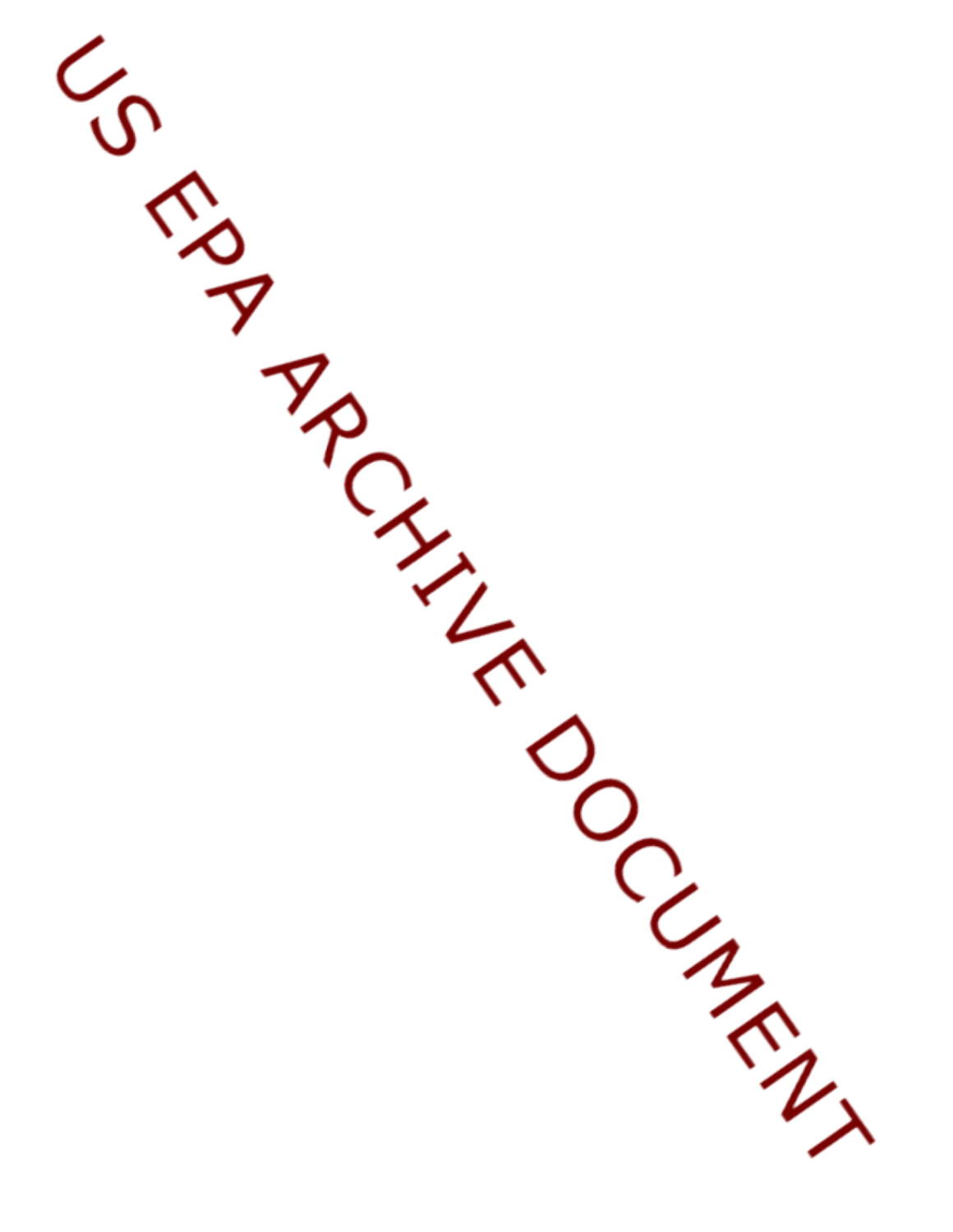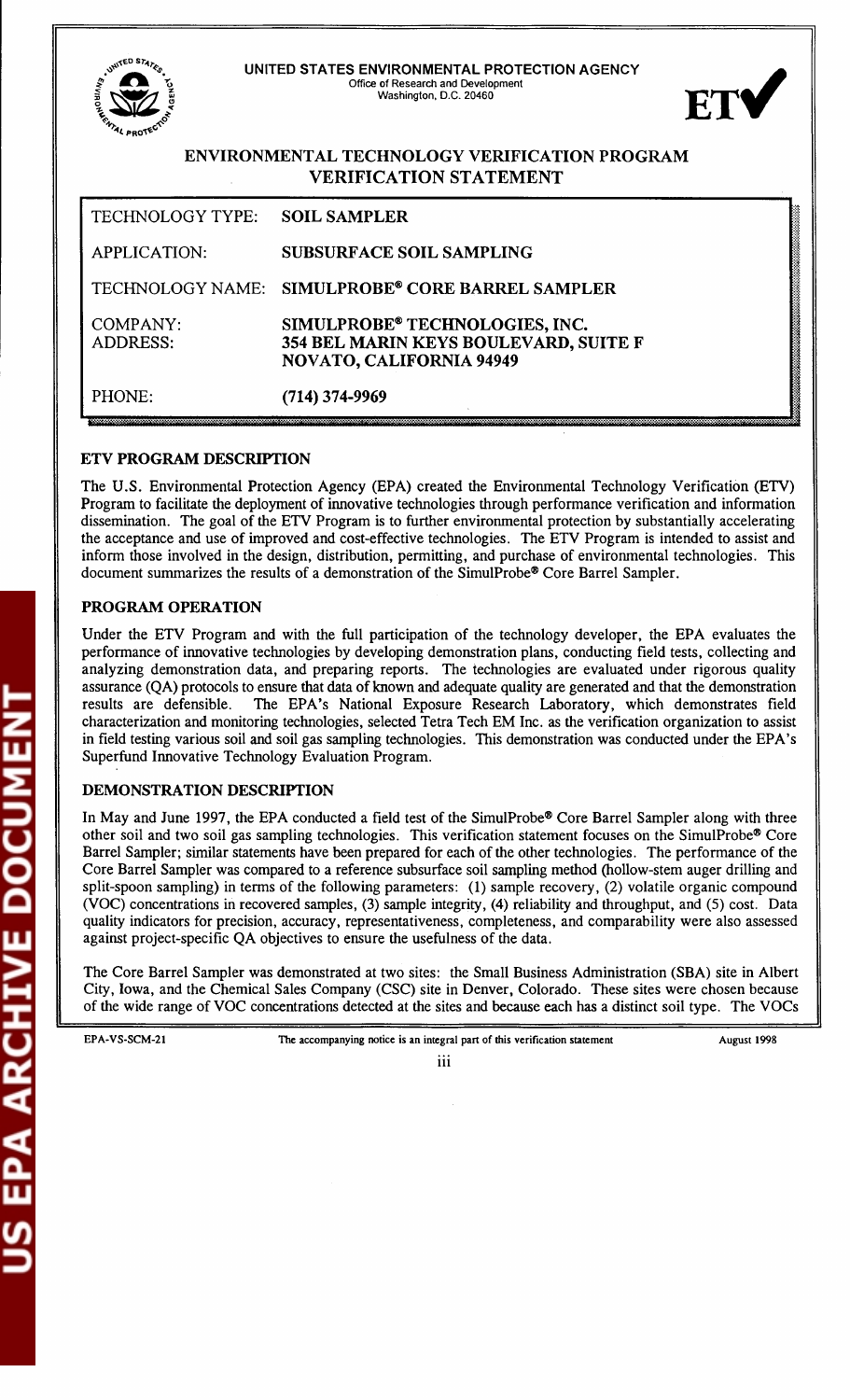UNITED STATES ENVIRONMENTAL PROTECTION AGENCY Office of Research and Development FT<sup>®</sup> Washington, D.C. 20460 ENVIRONMENTAL TECHNOLOGY VERIFICATION PROGRAM **VERIFICATION STATEMENT** TECHNOLOGY TYPE: **SOIL SAMPLER APPLICATION: SUBSURFACE SOIL SAMPLING** SIMULPROBE® CORE BARREL SAMPLER TECHNOLOGY NAME: **COMPANY:** SIMULPROBE® TECHNOLOGIES, INC. ADDRESS: 354 BEL MARIN KEYS BOULEVARD, SUITE F NOVATO, CALIFORNIA 94949 PHONE:  $(714)$  374-9969

## **ETV PROGRAM DESCRIPTION**

The U.S. Environmental Protection Agency (EPA) created the Environmental Technology Verification (ETV) Program to facilitate the deployment of innovative technologies through performance verification and information dissemination. The goal of the ETV Program is to further environmental protection by substantially accelerating the acceptance and use of improved and cost-effective technologies. The ETV Program is intended to assist and inform those involved in the design, distribution, permitting, and purchase of environmental technologies. This document summarizes the results of a demonstration of the SimulProbe® Core Barrel Sampler.

## PROGRAM OPERATION

Under the ETV Program and with the full participation of the technology developer, the EPA evaluates the performance of innovative technologies by developing demonstration plans, conducting field tests, collecting and analyzing demonstration data, and preparing reports. The technologies are evaluated under rigorous quality assurance (QA) protocols to ensure that data of known and adequate quality are generated and that the demonstration results are defensible. The EPA's National Exposure Research Laboratory, which demonstrates field characterization and monitoring technologies, selected Tetra Tech EM Inc. as the verification organization to assist in field testing various soil and soil gas sampling technologies. This demonstration was conducted under the EPA's Superfund Innovative Technology Evaluation Program.

#### **DEMONSTRATION DESCRIPTION**

In May and June 1997, the EPA conducted a field test of the SimulProbe® Core Barrel Sampler along with three other soil and two soil gas sampling technologies. This verification statement focuses on the SimulProbe<sup>®</sup> Core Barrel Sampler; similar statements have been prepared for each of the other technologies. The performance of the Core Barrel Sampler was compared to a reference subsurface soil sampling method (hollow-stem auger drilling and split-spoon sampling) in terms of the following parameters: (1) sample recovery, (2) volatile organic compound (VOC) concentrations in recovered samples, (3) sample integrity, (4) reliability and throughput, and (5) cost. Data quality indicators for precision, accuracy, representativeness, completeness, and comparability were also assessed against project-specific QA objectives to ensure the usefulness of the data.

The Core Barrel Sampler was demonstrated at two sites: the Small Business Administration (SBA) site in Albert City, Iowa, and the Chemical Sales Company (CSC) site in Denver, Colorado. These sites were chosen because of the wide range of VOC concentrations detected at the sites and because each has a distinct soil type. The VOCs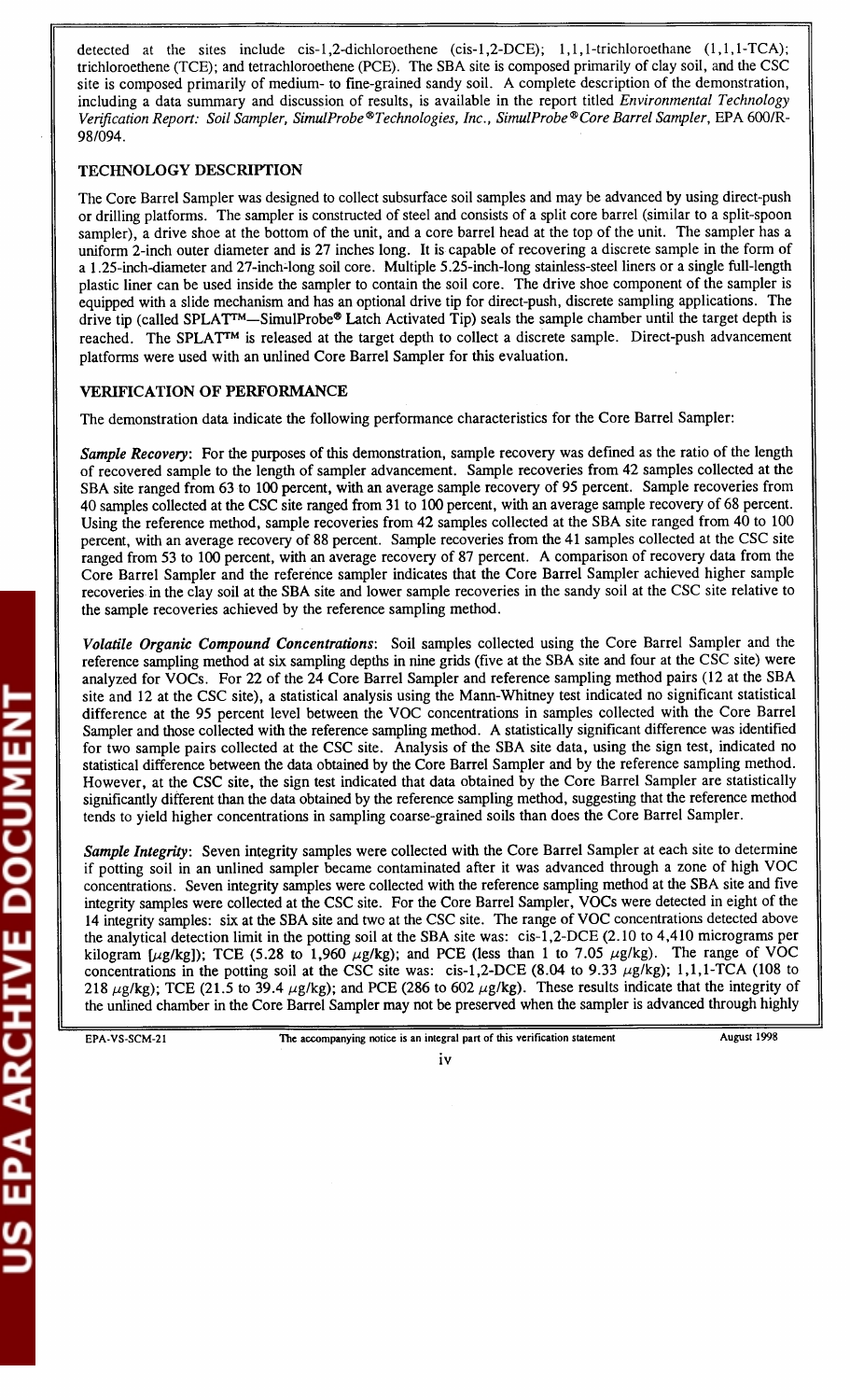detected at the sites include cis-1,2-dichloroethene (cis-1,2-DCE); 1,1,1-trichloroethane  $(1,1,1-TCA)$ ; trichloroethene (TCE); and tetrachloroethene (PCE). The SBA site is composed primarily of clay soil, and the CSC site is composed primarily of medium- to fine-grained sandy soil. A complete description of the demonstration, including a data summary and discussion of results, is available in the report titled *Environmental Technology Verification Report: Soil Sampler, SimulProbe®Technologies, Inc., SimulProbe®Core Barrel Sampler,* EPA 600/R-98/094.

## TECHNOLOGY DESCRIPTION

The Core Barrel Sampler was designed to collect subsurface soil samples and may be advanced by using direct-push or drilling platforms. The sampler is constructed of steel and consists of a split core barrel (similar to a split-spoon sampler), a drive shoe at the bottom of the unit, and a core barrel head at the top of the unit. The sampler has a uniform 2-inch outer diameter and is 27 inches long. It is capable of recovering a discrete sample in the form of a 1.25-inch-diameter and 27-inch-long soil core. Multiple 5.25-inch-long stainless-steel liners or a single full-length <sup>p</sup>lastic liner can be used inside the sampler to contain the soil core. The drive shoe component of the sampler is equipped with a slide mechanism and has an optional drive tip for direct-push, discrete sampling applications. The drive tip (called SPLAT<sup>TM</sup>—SimulProbe® Latch Activated Tip) seals the sample chamber until the target depth is reached. The SPLAT<sup>TM</sup> is released at the target depth to collect a discrete sample. Direct-push advancement <sup>p</sup>latforms were used with an unlined Core Barrel Sampler for this evaluation.

# VERIFICATION OF PERFORMANCE

The demonstration data indicate the following performance characteristics for the Core Barrel Sampler:

*Sample Recovery:* For the purposes of this demonstration, sample recovery was defined as the ratio of the length of recovered sample to the length of sampler advancement. Sample recoveries from 42 samples collected at the SBA site ranged from 63 to 100 percent, with an average sample recovery of 95 percent. Sample recoveries from 40 samples collected at the CSC site ranged from 31 to 100 percent, with an average sample recovery of 68 percent. Using the reference method, sample recoveries from 42 samples collected at the SBA site ranged from 40 to 100 percent, with an average recovery of 88 percent. Sample recoveries from the 41 samples collected at the CSC site ranged from 53 to 100 percent, with an average recovery of 87 percent. A comparison of recovery data from the Core Barrel Sampler and the reference sampler indicates that the Core Barrel Sampler achieved higher sample recoveries in the clay soil at the SBA site and lower sample recoveries in the sandy soil at the CSC site relative to the sample recoveries achieved by the reference sampling method.

*Volatile Organic Compound Concentrations:* Soil samples collected using the Core Barrel Sampler and the reference sampling method at six sampling depths in nine grids (five at the SBA site and four at the CSC site) were analyzed for VOCs. For 22 of the 24 Core Barrel Sampler and reference sampling method pairs (12 at the SBA site and 12 at the CSC site), a statistical analysis using the Mann-Whitney test indicated no significant statistical difference at the 95 percent level between the VOC concentrations in samples collected with the Core Barrel Sampler and those collected with the reference sampling method. A statistically significant difference was identified for two sample pairs collected at the CSC site. Analysis of the SBA site data, using the sign test, indicated no statistical difference between the data obtained by the Core Barrel Sampler and by the reference sampling method. However, at the CSC site, the sign test indicated that data obtained by the Core Barrel Sampler are statistically significantly different than the data obtained by the reference sampling method, suggesting that the reference method tends to yield higher concentrations in sampling coarse-grained soils than does the Core Barrel Sampler.

*Sample Integrity:* Seven integrity samples were collected with the Core Barrel Sampler at each site to determine if potting soil in an unlined sampler became contaminated after it was advanced through a zone of high VOC concentrations. Seven integrity samples were collected with the reference sampling method at the SBA site and five integrity samples were collected at the CSC site. For the Core Barrel Sampler, VOCs were detected in eight of the <sup>14</sup>integrity samples: six at the SBA site and two at the CSC site. The range of VOC concentrations detected above the analytical detection limit in the potting soil at the SBA site was: cis-1,2-DCE (2.10 to 4,410 micrograms per kilogram [ $\mu$ g/kg]); TCE (5.28 to 1,960  $\mu$ g/kg); and PCE (less than 1 to 7.05  $\mu$ g/kg). The range of VOC concentrations in the potting soil at the CSC site was: cis-1,2-DCE (8.04 to 9.33  $\mu$ g/kg); 1,1,1-TCA (108 to 218  $\mu$ g/kg); TCE (21.5 to 39.4  $\mu$ g/kg); and PCE (286 to 602  $\mu$ g/kg). These results indicate that the integrity of the unlined chamber in the Core Barrel Sampler may not be preserved when the sampler is advanced through highly

**RCHIVE DOCUMENT**